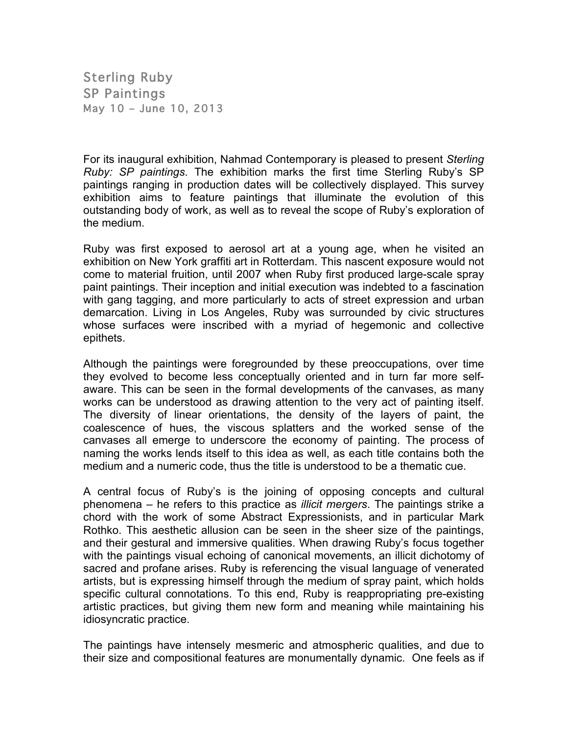Sterling Ruby SP Paintings May 10 – June 10, 2013

For its inaugural exhibition, Nahmad Contemporary is pleased to present *Sterling Ruby: SP paintings*. The exhibition marks the first time Sterling Ruby's SP paintings ranging in production dates will be collectively displayed. This survey exhibition aims to feature paintings that illuminate the evolution of this outstanding body of work, as well as to reveal the scope of Ruby's exploration of the medium.

Ruby was first exposed to aerosol art at a young age, when he visited an exhibition on New York graffiti art in Rotterdam. This nascent exposure would not come to material fruition, until 2007 when Ruby first produced large-scale spray paint paintings. Their inception and initial execution was indebted to a fascination with gang tagging, and more particularly to acts of street expression and urban demarcation. Living in Los Angeles, Ruby was surrounded by civic structures whose surfaces were inscribed with a myriad of hegemonic and collective epithets.

Although the paintings were foregrounded by these preoccupations, over time they evolved to become less conceptually oriented and in turn far more selfaware. This can be seen in the formal developments of the canvases, as many works can be understood as drawing attention to the very act of painting itself. The diversity of linear orientations, the density of the layers of paint, the coalescence of hues, the viscous splatters and the worked sense of the canvases all emerge to underscore the economy of painting. The process of naming the works lends itself to this idea as well, as each title contains both the medium and a numeric code, thus the title is understood to be a thematic cue.

A central focus of Ruby's is the joining of opposing concepts and cultural phenomena – he refers to this practice as *illicit mergers*. The paintings strike a chord with the work of some Abstract Expressionists, and in particular Mark Rothko. This aesthetic allusion can be seen in the sheer size of the paintings, and their gestural and immersive qualities. When drawing Ruby's focus together with the paintings visual echoing of canonical movements, an illicit dichotomy of sacred and profane arises. Ruby is referencing the visual language of venerated artists, but is expressing himself through the medium of spray paint, which holds specific cultural connotations. To this end, Ruby is reappropriating pre-existing artistic practices, but giving them new form and meaning while maintaining his idiosyncratic practice.

The paintings have intensely mesmeric and atmospheric qualities, and due to their size and compositional features are monumentally dynamic. One feels as if